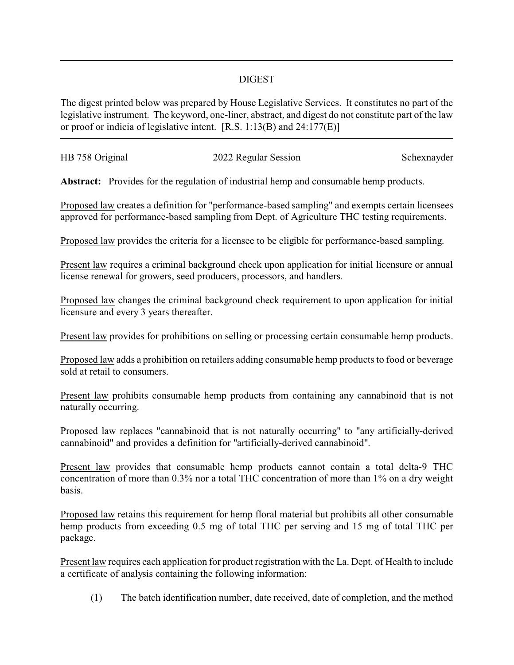## DIGEST

The digest printed below was prepared by House Legislative Services. It constitutes no part of the legislative instrument. The keyword, one-liner, abstract, and digest do not constitute part of the law or proof or indicia of legislative intent. [R.S. 1:13(B) and 24:177(E)]

| HB 758 Original |                      | Schexnayder |
|-----------------|----------------------|-------------|
|                 | 2022 Regular Session |             |

**Abstract:** Provides for the regulation of industrial hemp and consumable hemp products.

Proposed law creates a definition for "performance-based sampling" and exempts certain licensees approved for performance-based sampling from Dept. of Agriculture THC testing requirements.

Proposed law provides the criteria for a licensee to be eligible for performance-based sampling.

Present law requires a criminal background check upon application for initial licensure or annual license renewal for growers, seed producers, processors, and handlers.

Proposed law changes the criminal background check requirement to upon application for initial licensure and every 3 years thereafter.

Present law provides for prohibitions on selling or processing certain consumable hemp products.

Proposed law adds a prohibition on retailers adding consumable hemp products to food or beverage sold at retail to consumers.

Present law prohibits consumable hemp products from containing any cannabinoid that is not naturally occurring.

Proposed law replaces "cannabinoid that is not naturally occurring" to "any artificially-derived cannabinoid" and provides a definition for "artificially-derived cannabinoid".

Present law provides that consumable hemp products cannot contain a total delta-9 THC concentration of more than 0.3% nor a total THC concentration of more than 1% on a dry weight basis.

Proposed law retains this requirement for hemp floral material but prohibits all other consumable hemp products from exceeding 0.5 mg of total THC per serving and 15 mg of total THC per package.

Present law requires each application for product registration with the La. Dept. of Health to include a certificate of analysis containing the following information:

(1) The batch identification number, date received, date of completion, and the method